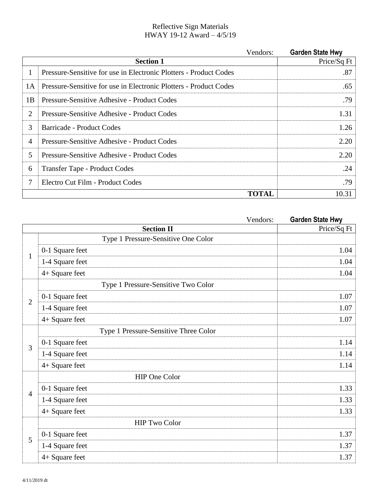## Reflective Sign Materials HWAY 19-12 Award – 4/5/19

|    | Vendors:                                                          | <b>Garden State Hwy</b> |
|----|-------------------------------------------------------------------|-------------------------|
|    | <b>Section 1</b>                                                  | Price/Sq Ft             |
| 1  | Pressure-Sensitive for use in Electronic Plotters - Product Codes | .87                     |
| 1A | Pressure-Sensitive for use in Electronic Plotters - Product Codes | .65                     |
| 1B | Pressure-Sensitive Adhesive - Product Codes                       | .79                     |
| 2  | Pressure-Sensitive Adhesive - Product Codes                       | 1.31                    |
| 3  | Barricade - Product Codes                                         | 1.26                    |
| 4  | Pressure-Sensitive Adhesive - Product Codes                       | 2.20                    |
| 5  | Pressure-Sensitive Adhesive - Product Codes                       | 2.20                    |
| 6  | Transfer Tape - Product Codes                                     | .24                     |
| 7  | Electro Cut Film - Product Codes                                  | .79                     |
|    | <b>TOTAL</b>                                                      | 10.31                   |

|                | Vendors:                              | <b>Garden State Hwy</b> |
|----------------|---------------------------------------|-------------------------|
|                | <b>Section II</b>                     | Price/Sq Ft             |
| $\mathbf{1}$   | Type 1 Pressure-Sensitive One Color   |                         |
|                | 0-1 Square feet                       | 1.04                    |
|                | 1-4 Square feet                       | 1.04                    |
|                | $4+$ Square feet                      | 1.04                    |
| $\overline{2}$ | Type 1 Pressure-Sensitive Two Color   |                         |
|                | 0-1 Square feet                       | 1.07                    |
|                | 1-4 Square feet                       | 1.07                    |
|                | 4+ Square feet                        | 1.07                    |
|                | Type 1 Pressure-Sensitive Three Color |                         |
| 3              | 0-1 Square feet                       | 1.14                    |
|                | 1-4 Square feet                       | 1.14                    |
|                | 4+ Square feet                        | 1.14                    |
| $\overline{4}$ | <b>HIP One Color</b>                  |                         |
|                | 0-1 Square feet                       | 1.33                    |
|                | 1-4 Square feet                       | 1.33                    |
|                | 4+ Square feet                        | 1.33                    |
| 5              | <b>HIP Two Color</b>                  |                         |
|                | 0-1 Square feet                       | 1.37                    |
|                | 1-4 Square feet                       | 1.37                    |
|                | 4+ Square feet                        | 1.37                    |